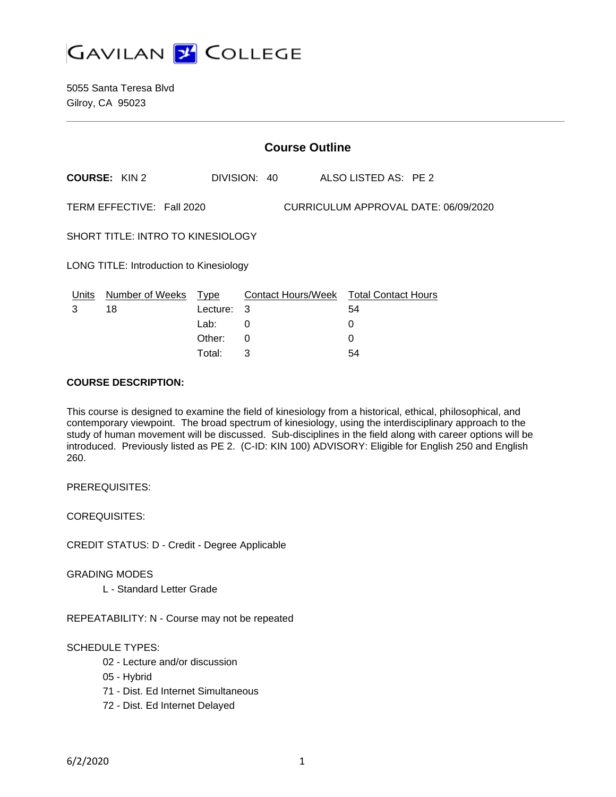

5055 Santa Teresa Blvd Gilroy, CA 95023

|                                                                   | <b>Course Outline</b>        |                           |        |  |  |                                              |  |
|-------------------------------------------------------------------|------------------------------|---------------------------|--------|--|--|----------------------------------------------|--|
|                                                                   | COURSE: KIN 2                |                           |        |  |  | DIVISION: 40 ALSO LISTED AS: PE 2            |  |
| TERM EFFECTIVE: Fall 2020<br>CURRICULUM APPROVAL DATE: 06/09/2020 |                              |                           |        |  |  |                                              |  |
| SHORT TITLE: INTRO TO KINESIOLOGY                                 |                              |                           |        |  |  |                                              |  |
| <b>LONG TITLE: Introduction to Kinesiology</b>                    |                              |                           |        |  |  |                                              |  |
| Units<br>3                                                        | <b>Number of Weeks</b><br>18 | <u>Type</u><br>Lecture: 3 |        |  |  | Contact Hours/Week Total Contact Hours<br>54 |  |
|                                                                   |                              | Lab:<br>Other:            | 0<br>0 |  |  | 0<br>0                                       |  |

Total: 3 54

#### **COURSE DESCRIPTION:**

This course is designed to examine the field of kinesiology from a historical, ethical, philosophical, and contemporary viewpoint. The broad spectrum of kinesiology, using the interdisciplinary approach to the study of human movement will be discussed. Sub-disciplines in the field along with career options will be introduced. Previously listed as PE 2. (C-ID: KIN 100) ADVISORY: Eligible for English 250 and English 260.

PREREQUISITES:

COREQUISITES:

CREDIT STATUS: D - Credit - Degree Applicable

GRADING MODES

L - Standard Letter Grade

REPEATABILITY: N - Course may not be repeated

### SCHEDULE TYPES:

- 02 Lecture and/or discussion
- 05 Hybrid
- 71 Dist. Ed Internet Simultaneous
- 72 Dist. Ed Internet Delayed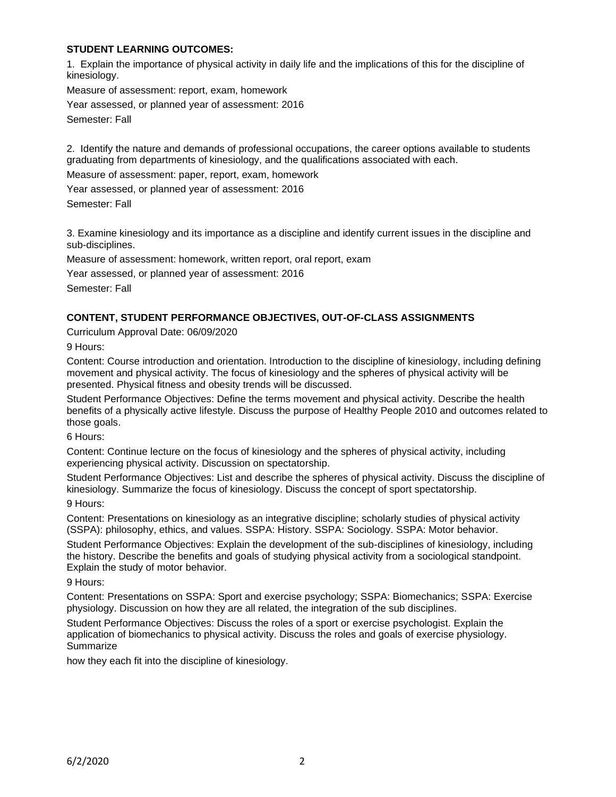### **STUDENT LEARNING OUTCOMES:**

1. Explain the importance of physical activity in daily life and the implications of this for the discipline of kinesiology.

Measure of assessment: report, exam, homework

Year assessed, or planned year of assessment: 2016

Semester: Fall

2. Identify the nature and demands of professional occupations, the career options available to students graduating from departments of kinesiology, and the qualifications associated with each.

Measure of assessment: paper, report, exam, homework

Year assessed, or planned year of assessment: 2016

Semester: Fall

3. Examine kinesiology and its importance as a discipline and identify current issues in the discipline and sub-disciplines.

Measure of assessment: homework, written report, oral report, exam

Year assessed, or planned year of assessment: 2016

Semester: Fall

### **CONTENT, STUDENT PERFORMANCE OBJECTIVES, OUT-OF-CLASS ASSIGNMENTS**

Curriculum Approval Date: 06/09/2020

9 Hours:

Content: Course introduction and orientation. Introduction to the discipline of kinesiology, including defining movement and physical activity. The focus of kinesiology and the spheres of physical activity will be presented. Physical fitness and obesity trends will be discussed.

Student Performance Objectives: Define the terms movement and physical activity. Describe the health benefits of a physically active lifestyle. Discuss the purpose of Healthy People 2010 and outcomes related to those goals.

6 Hours:

Content: Continue lecture on the focus of kinesiology and the spheres of physical activity, including experiencing physical activity. Discussion on spectatorship.

Student Performance Objectives: List and describe the spheres of physical activity. Discuss the discipline of kinesiology. Summarize the focus of kinesiology. Discuss the concept of sport spectatorship.

9 Hours:

Content: Presentations on kinesiology as an integrative discipline; scholarly studies of physical activity (SSPA): philosophy, ethics, and values. SSPA: History. SSPA: Sociology. SSPA: Motor behavior.

Student Performance Objectives: Explain the development of the sub-disciplines of kinesiology, including the history. Describe the benefits and goals of studying physical activity from a sociological standpoint. Explain the study of motor behavior.

9 Hours:

Content: Presentations on SSPA: Sport and exercise psychology; SSPA: Biomechanics; SSPA: Exercise physiology. Discussion on how they are all related, the integration of the sub disciplines.

Student Performance Objectives: Discuss the roles of a sport or exercise psychologist. Explain the application of biomechanics to physical activity. Discuss the roles and goals of exercise physiology. **Summarize** 

how they each fit into the discipline of kinesiology.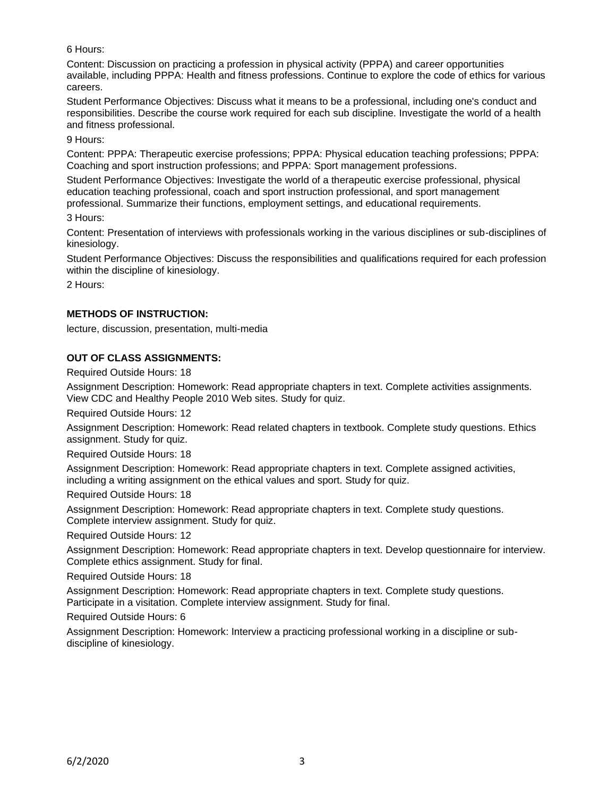## 6 Hours:

Content: Discussion on practicing a profession in physical activity (PPPA) and career opportunities available, including PPPA: Health and fitness professions. Continue to explore the code of ethics for various careers.

Student Performance Objectives: Discuss what it means to be a professional, including one's conduct and responsibilities. Describe the course work required for each sub discipline. Investigate the world of a health and fitness professional.

9 Hours:

Content: PPPA: Therapeutic exercise professions; PPPA: Physical education teaching professions; PPPA: Coaching and sport instruction professions; and PPPA: Sport management professions.

Student Performance Objectives: Investigate the world of a therapeutic exercise professional, physical education teaching professional, coach and sport instruction professional, and sport management professional. Summarize their functions, employment settings, and educational requirements.

3 Hours:

Content: Presentation of interviews with professionals working in the various disciplines or sub-disciplines of kinesiology.

Student Performance Objectives: Discuss the responsibilities and qualifications required for each profession within the discipline of kinesiology.

2 Hours:

### **METHODS OF INSTRUCTION:**

lecture, discussion, presentation, multi-media

### **OUT OF CLASS ASSIGNMENTS:**

Required Outside Hours: 18

Assignment Description: Homework: Read appropriate chapters in text. Complete activities assignments. View CDC and Healthy People 2010 Web sites. Study for quiz.

Required Outside Hours: 12

Assignment Description: Homework: Read related chapters in textbook. Complete study questions. Ethics assignment. Study for quiz.

Required Outside Hours: 18

Assignment Description: Homework: Read appropriate chapters in text. Complete assigned activities, including a writing assignment on the ethical values and sport. Study for quiz.

Required Outside Hours: 18

Assignment Description: Homework: Read appropriate chapters in text. Complete study questions. Complete interview assignment. Study for quiz.

Required Outside Hours: 12

Assignment Description: Homework: Read appropriate chapters in text. Develop questionnaire for interview. Complete ethics assignment. Study for final.

Required Outside Hours: 18

Assignment Description: Homework: Read appropriate chapters in text. Complete study questions. Participate in a visitation. Complete interview assignment. Study for final.

Required Outside Hours: 6

Assignment Description: Homework: Interview a practicing professional working in a discipline or subdiscipline of kinesiology.